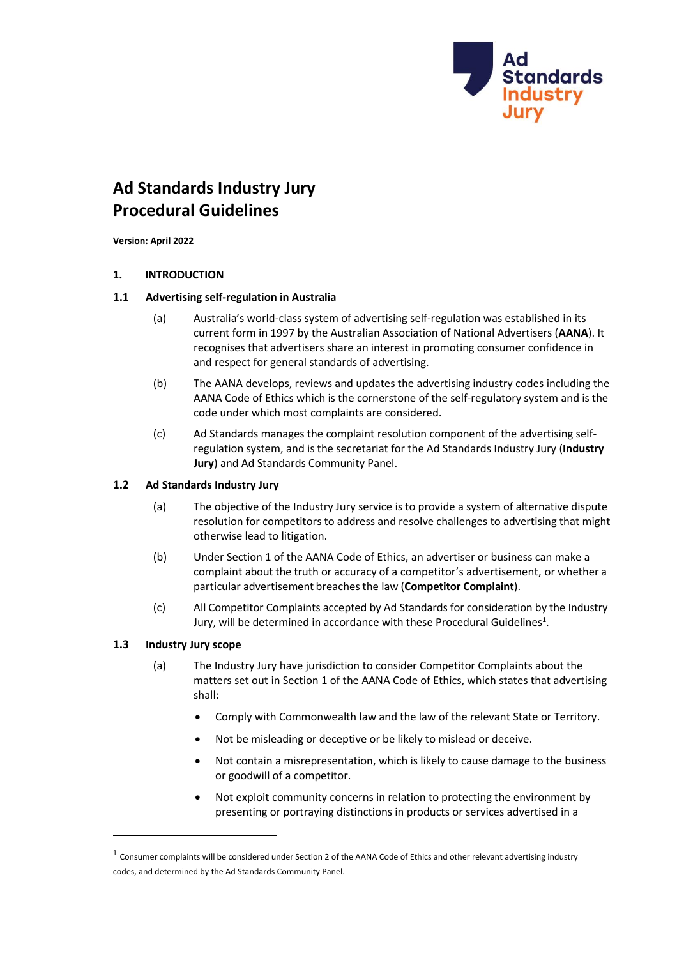

# **Ad Standards Industry Jury Procedural Guidelines**

**Version: April 2022**

## **1. INTRODUCTION**

## **1.1 Advertising self-regulation in Australia**

- (a) Australia's world-class system of advertising self-regulation was established in its current form in 1997 by the Australian Association of National Advertisers (**AANA**). It recognises that advertisers share an interest in promoting consumer confidence in and respect for general standards of advertising.
- (b) The AANA develops, reviews and updates the advertising industry codes including the AANA Code of Ethics which is the cornerstone of the self-regulatory system and is the code under which most complaints are considered.
- (c) Ad Standards manages the complaint resolution component of the advertising selfregulation system, and is the secretariat for the Ad Standards Industry Jury (**Industry Jury**) and Ad Standards Community Panel.

## **1.2 Ad Standards Industry Jury**

- (a) The objective of the Industry Jury service is to provide a system of alternative dispute resolution for competitors to address and resolve challenges to advertising that might otherwise lead to litigation.
- (b) Under Section 1 of the AANA Code of Ethics, an advertiser or business can make a complaint about the truth or accuracy of a competitor's advertisement, or whether a particular advertisement breachesthe law (**Competitor Complaint**).
- (c) All Competitor Complaints accepted by Ad Standards for consideration by the Industry Jury, will be determined in accordance with these Procedural Guidelines $^1$ .

## <span id="page-0-0"></span>**1.3 Industry Jury scope**

- (a) The Industry Jury have jurisdiction to consider Competitor Complaints about the matters set out in Section 1 of the AANA Code of Ethics, which states that advertising shall:
	- Comply with Commonwealth law and the law of the relevant State or Territory.
	- Not be misleading or deceptive or be likely to mislead or deceive.
	- Not contain a misrepresentation, which is likely to cause damage to the business or goodwill of a competitor.
	- Not exploit community concerns in relation to protecting the environment by presenting or portraying distinctions in products or services advertised in a

 $^1$  Consumer complaints will be considered under Section 2 of the AANA Code of Ethics and other relevant advertising industry codes, and determined by the Ad Standards [Community Panel.](https://adstandards.com.au/about/advertising-complaints-process)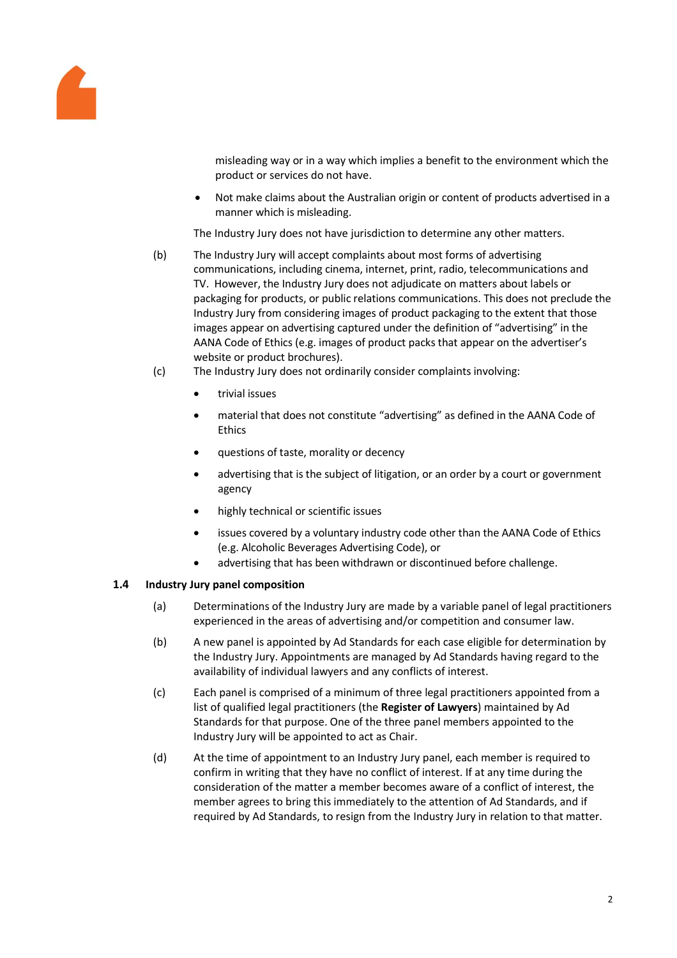

misleading way or in a way which implies a benefit to the environment which the product or services do not have.

• Not make claims about the Australian origin or content of products advertised in a manner which is misleading.

The Industry Jury does not have jurisdiction to determine any other matters.

- (b) The Industry Jury will accept complaints about most forms of advertising communications, including cinema, internet, print, radio, telecommunications and TV. However, the Industry Jury does not adjudicate on matters about labels or packaging for products, or public relations communications. This does not preclude the Industry Jury from considering images of product packaging to the extent that those images appear on advertising captured under the definition of "advertising" in the AANA Code of Ethics (e.g. images of product packs that appear on the advertiser's website or product brochures).
- (c) The Industry Jury does not ordinarily consider complaints involving:
	- trivial issues
	- material that does not constitute "advertising" as defined in the AANA Code of Ethics
	- questions of taste, morality or decency
	- advertising that is the subject of litigation, or an order by a court or government agency
	- highly technical or scientific issues
	- issues covered by a voluntary industry code other than the AANA Code of Ethics (e.g. Alcoholic Beverages Advertising Code), or
	- advertising that has been withdrawn or discontinued before challenge.

## **1.4 Industry Jury panel composition**

- (a) Determinations of the Industry Jury are made by a variable panel of legal practitioners experienced in the areas of advertising and/or competition and consumer law.
- (b) A new panel is appointed by Ad Standards for each case eligible for determination by the Industry Jury. Appointments are managed by Ad Standards having regard to the availability of individual lawyers and any conflicts of interest.
- (c) Each panel is comprised of a minimum of three legal practitioners appointed from a list of qualified legal practitioners (the **Register of Lawyers**) maintained by Ad Standards for that purpose. One of the three panel members appointed to the Industry Jury will be appointed to act as Chair.
- (d) At the time of appointment to an Industry Jury panel, each member is required to confirm in writing that they have no conflict of interest. If at any time during the consideration of the matter a member becomes aware of a conflict of interest, the member agrees to bring this immediately to the attention of Ad Standards, and if required by Ad Standards, to resign from the Industry Jury in relation to that matter.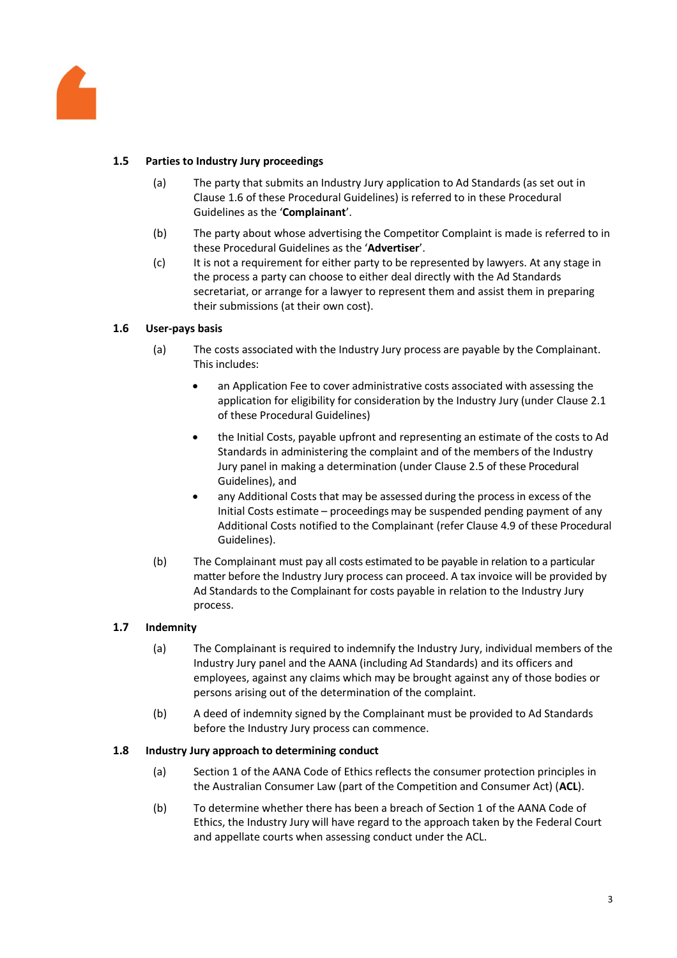

# **1.5 Parties to Industry Jury proceedings**

- (a) The party that submits an Industry Jury application to Ad Standards (as set out in Claus[e 1.6](#page-2-0) of these Procedural Guidelines) is referred to in these Procedural Guidelines as the '**Complainant**'.
- (b) The party about whose advertising the Competitor Complaint is made is referred to in these Procedural Guidelines as the '**Advertiser**'.
- (c) It is not a requirement for either party to be represented by lawyers. At any stage in the process a party can choose to either deal directly with the Ad Standards secretariat, or arrange for a lawyer to represent them and assist them in preparing their submissions (at their own cost).

# <span id="page-2-0"></span>**1.6 User-pays basis**

- (a) The costs associated with the Industry Jury process are payable by the Complainant. This includes:
	- an Application Fee to cover administrative costs associated with assessing the application for eligibility for consideration by the Industry Jury (under Claus[e 2.1](#page-3-0) of these Procedural Guidelines)
	- the Initial Costs, payable upfront and representing an estimate of the costs to Ad Standards in administering the complaint and of the members of the Industry Jury panel in making a determination (under Clause [2.5](#page-5-0) of these Procedural Guidelines), and
	- any Additional Costs that may be assessed during the process in excess of the Initial Costs estimate – proceedings may be suspended pending payment of any Additional Costs notified to the Complainant (refer Clause [4.9](#page-8-0) of these Procedural Guidelines).
- (b) The Complainant must pay all costs estimated to be payable in relation to a particular matter before the Industry Jury process can proceed. A tax invoice will be provided by Ad Standards to the Complainant for costs payable in relation to the Industry Jury process.

## **1.7 Indemnity**

- (a) The Complainant is required to indemnify the Industry Jury, individual members of the Industry Jury panel and the AANA (including Ad Standards) and its officers and employees, against any claims which may be brought against any of those bodies or persons arising out of the determination of the complaint.
- (b) A deed of indemnity signed by the Complainant must be provided to Ad Standards before the Industry Jury process can commence.

## **1.8 Industry Jury approach to determining conduct**

- (a) Section 1 of the AANA Code of Ethics reflects the consumer protection principles in the Australian Consumer Law (part of the Competition and Consumer Act) (**ACL**).
- (b) To determine whether there has been a breach of Section 1 of the AANA Code of Ethics, the Industry Jury will have regard to the approach taken by the Federal Court and appellate courts when assessing conduct under the ACL.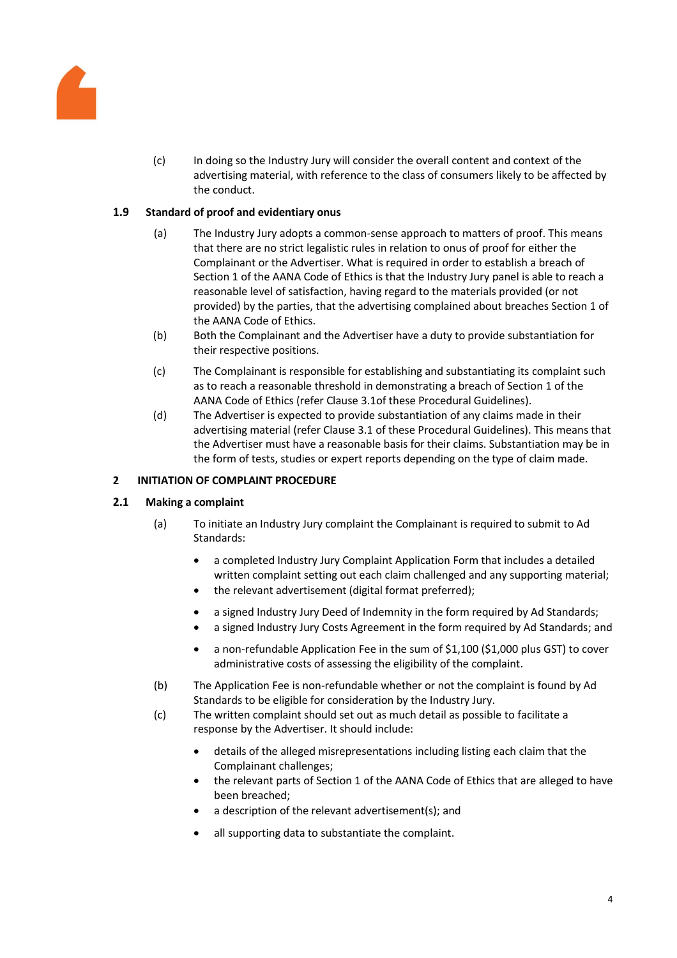

(c) In doing so the Industry Jury will consider the overall content and context of the advertising material, with reference to the class of consumers likely to be affected by the conduct.

# **1.9 Standard of proof and evidentiary onus**

- (a) The Industry Jury adopts a common-sense approach to matters of proof. This means that there are no strict legalistic rules in relation to onus of proof for either the Complainant or the Advertiser. What is required in order to establish a breach of Section 1 of the AANA Code of Ethics is that the Industry Jury panel is able to reach a reasonable level of satisfaction, having regard to the materials provided (or not provided) by the parties, that the advertising complained about breaches Section 1 of the AANA Code of Ethics.
- (b) Both the Complainant and the Advertiser have a duty to provide substantiation for their respective positions.
- (c) The Complainant is responsible for establishing and substantiating its complaint such as to reach a reasonable threshold in demonstrating a breach of Section 1 of the AANA Code of Ethics (refer Clause [3.1o](#page-5-1)f these Procedural Guidelines).
- (d) The Advertiser is expected to provide substantiation of any claims made in their advertising material (refer Claus[e 3.1](#page-5-1) of these Procedural Guidelines). This means that the Advertiser must have a reasonable basis for their claims. Substantiation may be in the form of tests, studies or expert reports depending on the type of claim made.

# **2 INITIATION OF COMPLAINT PROCEDURE**

## <span id="page-3-0"></span>**2.1 Making a complaint**

- (a) To initiate an Industry Jury complaint the Complainant is required to submit to Ad Standards:
	- a completed Industry Jury Complaint Application Form that includes a detailed written complaint setting out each claim challenged and any supporting material;
	- the relevant advertisement (digital format preferred);
	- a signed Industry Jury Deed of Indemnity in the form required by Ad Standards;
	- a signed Industry Jury Costs Agreement in the form required by Ad Standards; and
	- a non-refundable Application Fee in the sum of \$1,100 (\$1,000 plus GST) to cover administrative costs of assessing the eligibility of the complaint.
- (b) The Application Fee is non-refundable whether or not the complaint is found by Ad Standards to be eligible for consideration by the Industry Jury.
- (c) The written complaint should set out as much detail as possible to facilitate a response by the Advertiser. It should include:
	- details of the alleged misrepresentations including listing each claim that the Complainant challenges;
	- the relevant parts of Section 1 of the AANA Code of Ethics that are alleged to have been breached;
	- a description of the relevant advertisement(s); and
	- all supporting data to substantiate the complaint.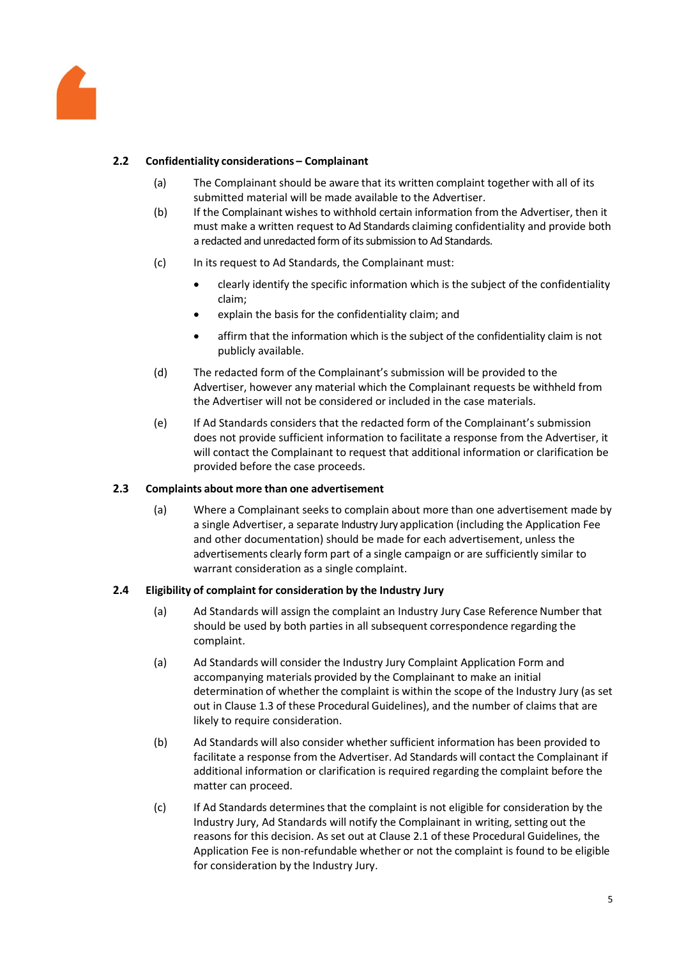

# <span id="page-4-0"></span>**2.2 Confidentiality considerations – Complainant**

- (a) The Complainant should be aware that its written complaint together with all of its submitted material will be made available to the Advertiser.
- (b) If the Complainant wishes to withhold certain information from the Advertiser, then it must make a written request to Ad Standards claiming confidentiality and provide both a redacted and unredacted form of its submission to Ad Standards.
- (c) In its request to Ad Standards, the Complainant must:
	- clearly identify the specific information which is the subject of the confidentiality claim;
	- explain the basis for the confidentiality claim; and
	- affirm that the information which is the subject of the confidentiality claim is not publicly available.
- (d) The redacted form of the Complainant's submission will be provided to the Advertiser, however any material which the Complainant requests be withheld from the Advertiser will not be considered or included in the case materials.
- (e) If Ad Standards considers that the redacted form of the Complainant's submission does not provide sufficient information to facilitate a response from the Advertiser, it will contact the Complainant to request that additional information or clarification be provided before the case proceeds.

#### **2.3 Complaints about more than one advertisement**

(a) Where a Complainant seeks to complain about more than one advertisement made by a single Advertiser, a separate Industry Jury application (including the Application Fee and other documentation) should be made for each advertisement, unless the advertisements clearly form part of a single campaign or are sufficiently similar to warrant consideration as a single complaint.

## **2.4 Eligibility of complaint for consideration by the Industry Jury**

- (a) Ad Standards will assign the complaint an Industry Jury Case Reference Number that should be used by both parties in all subsequent correspondence regarding the complaint.
- (a) Ad Standards will consider the Industry Jury Complaint Application Form and accompanying materials provided by the Complainant to make an initial determination of whether the complaint is within the scope of the Industry Jury (as set out in Clause [1.3](#page-0-0) of these Procedural Guidelines), and the number of claims that are likely to require consideration.
- (b) Ad Standards will also consider whether sufficient information has been provided to facilitate a response from the Advertiser. Ad Standards will contact the Complainant if additional information or clarification is required regarding the complaint before the matter can proceed.
- (c) If Ad Standards determinesthat the complaint is not eligible for consideration by the Industry Jury, Ad Standards will notify the Complainant in writing, setting out the reasons for this decision. As set out at Claus[e 2.1](#page-3-0) of these Procedural Guidelines, the Application Fee is non-refundable whether or not the complaint is found to be eligible for consideration by the Industry Jury.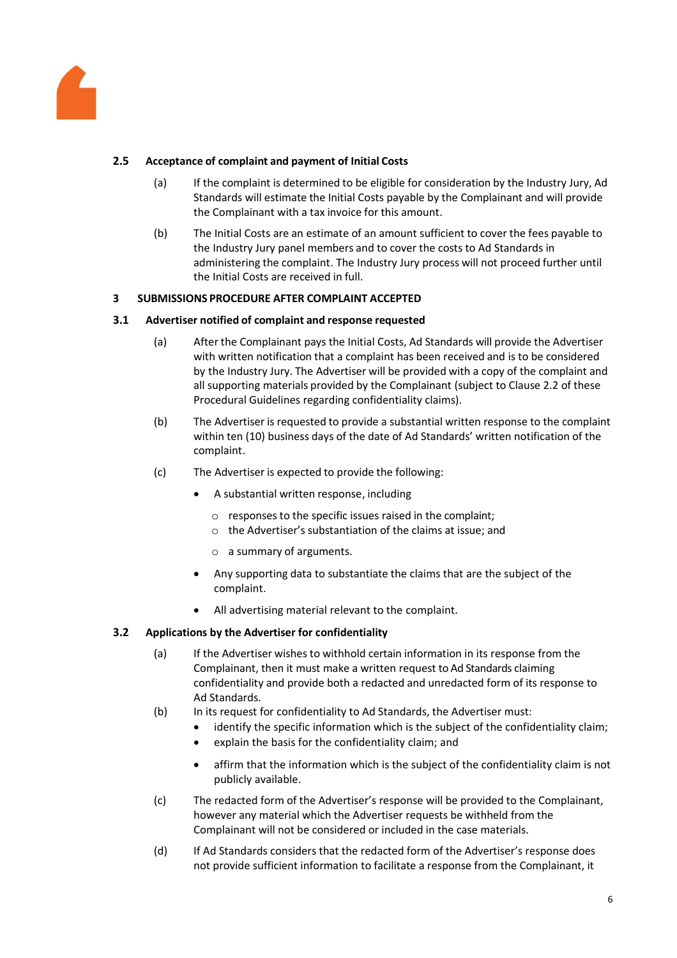

# <span id="page-5-0"></span>**2.5 Acceptance of complaint and payment of Initial Costs**

- (a) If the complaint is determined to be eligible for consideration by the Industry Jury, Ad Standards will estimate the Initial Costs payable by the Complainant and will provide the Complainant with a tax invoice for this amount.
- (b) The Initial Costs are an estimate of an amount sufficient to cover the fees payable to the Industry Jury panel members and to cover the costs to Ad Standards in administering the complaint. The Industry Jury process will not proceed further until the Initial Costs are received in full.

## **3 SUBMISSIONS PROCEDURE AFTER COMPLAINT ACCEPTED**

## <span id="page-5-1"></span>**3.1 Advertiser notified of complaint and response requested**

- (a) After the Complainant pays the Initial Costs, Ad Standards will provide the Advertiser with written notification that a complaint has been received and is to be considered by the Industry Jury. The Advertiser will be provided with a copy of the complaint and all supporting materials provided by the Complainant (subject to Claus[e 2.2](#page-4-0) of these Procedural Guidelines regarding confidentiality claims).
- (b) The Advertiser is requested to provide a substantial written response to the complaint within ten (10) business days of the date of Ad Standards' written notification of the complaint.
- (c) The Advertiser is expected to provide the following:
	- A substantial written response, including
		- $\circ$  responses to the specific issues raised in the complaint;
		- o the Advertiser's substantiation of the claims at issue; and
		- o a summary of arguments.
	- Any supporting data to substantiate the claims that are the subject of the complaint.
	- All advertising material relevant to the complaint.

## <span id="page-5-2"></span>**3.2 Applications by the Advertiser for confidentiality**

- (a) If the Advertiser wishes to withhold certain information in its response from the Complainant, then it must make a written request to Ad Standards claiming confidentiality and provide both a redacted and unredacted form of its response to Ad Standards.
- (b) In its request for confidentiality to Ad Standards, the Advertiser must:
	- identify the specific information which is the subject of the confidentiality claim;
	- explain the basis for the confidentiality claim; and
	- affirm that the information which is the subject of the confidentiality claim is not publicly available.
- (c) The redacted form of the Advertiser's response will be provided to the Complainant, however any material which the Advertiser requests be withheld from the Complainant will not be considered or included in the case materials.
- (d) If Ad Standards considers that the redacted form of the Advertiser's response does not provide sufficient information to facilitate a response from the Complainant, it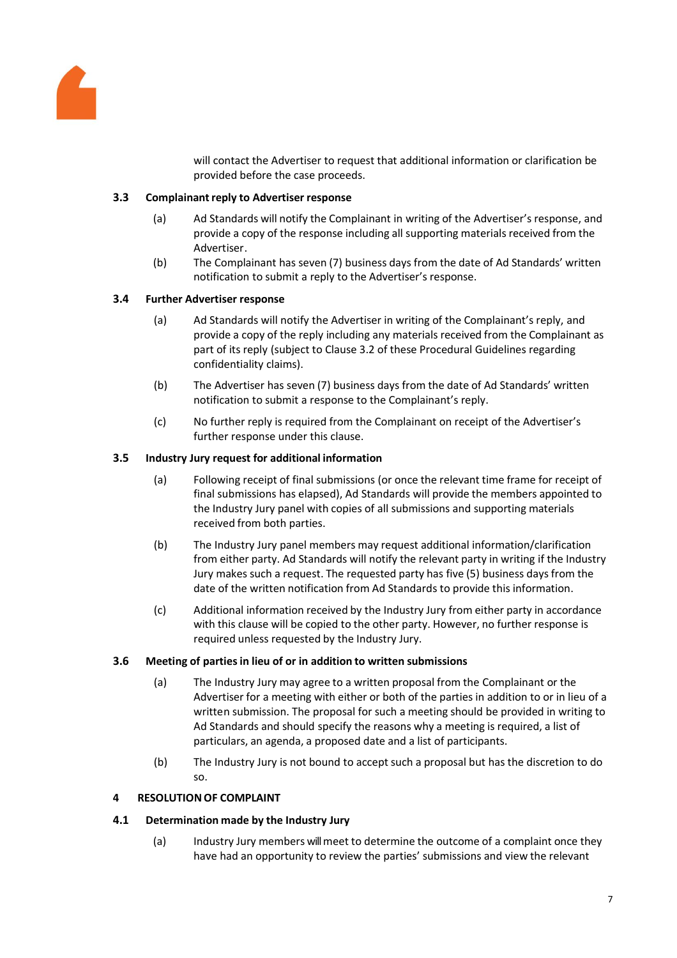

will contact the Advertiser to request that additional information or clarification be provided before the case proceeds.

#### **3.3 Complainantreply to Advertiser response**

- (a) Ad Standards will notify the Complainant in writing of the Advertiser's response, and provide a copy of the response including all supporting materials received from the Advertiser.
- (b) The Complainant has seven (7) business days from the date of Ad Standards' written notification to submit a reply to the Advertiser's response.

#### <span id="page-6-0"></span>**3.4 Further Advertiser response**

- (a) Ad Standards will notify the Advertiser in writing of the Complainant's reply, and provide a copy of the reply including any materials received from the Complainant as part of its reply (subject to Clause [3.2](#page-5-2) of these Procedural Guidelines regarding confidentiality claims).
- (b) The Advertiser has seven (7) business days from the date of Ad Standards' written notification to submit a response to the Complainant's reply.
- (c) No further reply is required from the Complainant on receipt of the Advertiser's further response under this clause.

#### <span id="page-6-1"></span>**3.5 Industry Jury request for additional information**

- (a) Following receipt of final submissions (or once the relevant time frame for receipt of final submissions has elapsed), Ad Standards will provide the members appointed to the Industry Jury panel with copies of all submissions and supporting materials received from both parties.
- (b) The Industry Jury panel members may request additional information/clarification from either party. Ad Standards will notify the relevant party in writing if the Industry Jury makes such a request. The requested party has five (5) business days from the date of the written notification from Ad Standards to provide this information.
- (c) Additional information received by the Industry Jury from either party in accordance with this clause will be copied to the other party. However, no further response is required unless requested by the Industry Jury.

#### **3.6 Meeting of partiesin lieu of or in addition to written submissions**

- (a) The Industry Jury may agree to a written proposal from the Complainant or the Advertiser for a meeting with either or both of the parties in addition to or in lieu of a written submission. The proposal for such a meeting should be provided in writing to Ad Standards and should specify the reasons why a meeting is required, a list of particulars, an agenda, a proposed date and a list of participants.
- (b) The Industry Jury is not bound to accept such a proposal but has the discretion to do so.

## **4** RESOLUTION OF COMPLAINT

## **4.1 Determination made by the Industry Jury**

(a) Industry Jury members will meet to determine the outcome of a complaint once they have had an opportunity to review the parties' submissions and view the relevant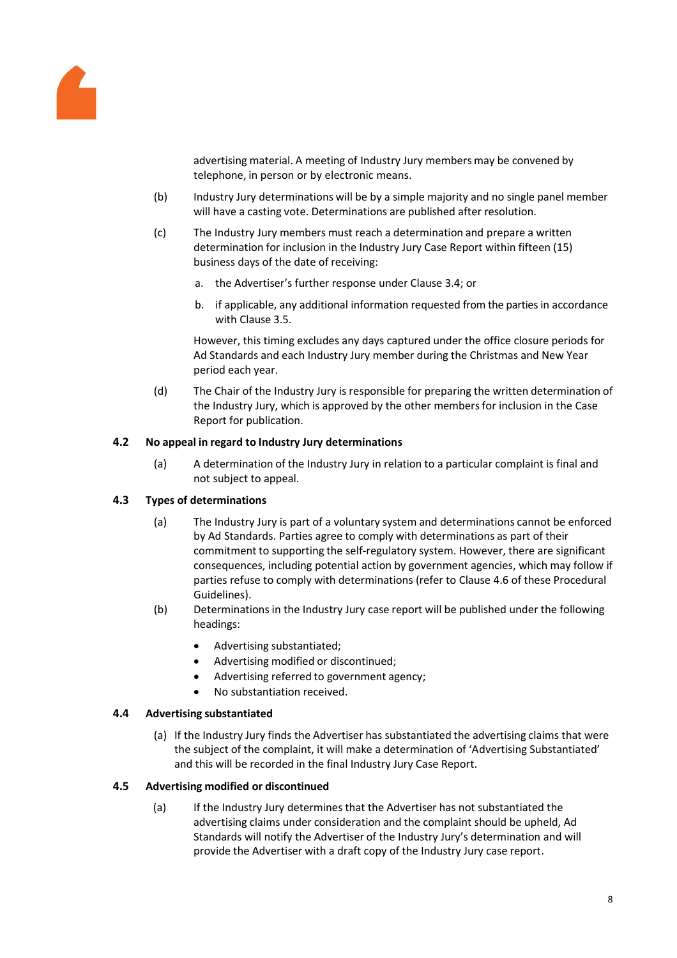

advertising material. A meeting of Industry Jury members may be convened by telephone, in person or by electronic means.

- (b) Industry Jury determinations will be by a simple majority and no single panel member will have a casting vote. Determinations are published after resolution.
- (c) The Industry Jury members must reach a determination and prepare a written determination for inclusion in the Industry Jury Case Report within fifteen (15) business days of the date of receiving:
	- a. the Advertiser's further response under Clause [3.4;](#page-6-0) or
	- b. if applicable, any additional information requested from the parties in accordance with Clause [3.5.](#page-6-1)

However, this timing excludes any days captured under the office closure periods for Ad Standards and each Industry Jury member during the Christmas and New Year period each year.

(d) The Chair of the Industry Jury is responsible for preparing the written determination of the Industry Jury, which is approved by the other members for inclusion in the Case Report for publication.

## **4.2 No appeal in regard to Industry Jury determinations**

(a) A determination of the Industry Jury in relation to a particular complaint is final and not subject to appeal.

## **4.3 Types of determinations**

- (a) The Industry Jury is part of a voluntary system and determinations cannot be enforced by Ad Standards. Parties agree to comply with determinations as part of their commitment to supporting the self-regulatory system. However, there are significant consequences, including potential action by government agencies, which may follow if parties refuse to comply with determinations (refer to Claus[e 4.6](#page-8-1) of these Procedural Guidelines).
- (b) Determinations in the Industry Jury case report will be published under the following headings:
	- Advertising substantiated;
	- Advertising modified or discontinued;
	- Advertising referred to government agency;
	- No substantiation received.

#### **4.4 Advertising substantiated**

(a) If the Industry Jury finds the Advertiser has substantiated the advertising claims that were the subject of the complaint, it will make a determination of 'Advertising Substantiated' and this will be recorded in the final Industry Jury Case Report.

#### <span id="page-7-0"></span>**4.5 Advertising modified or discontinued**

(a) If the Industry Jury determinesthat the Advertiser has not substantiated the advertising claims under consideration and the complaint should be upheld, Ad Standards will notify the Advertiser of the Industry Jury's determination and will provide the Advertiser with a draft copy of the Industry Jury case report.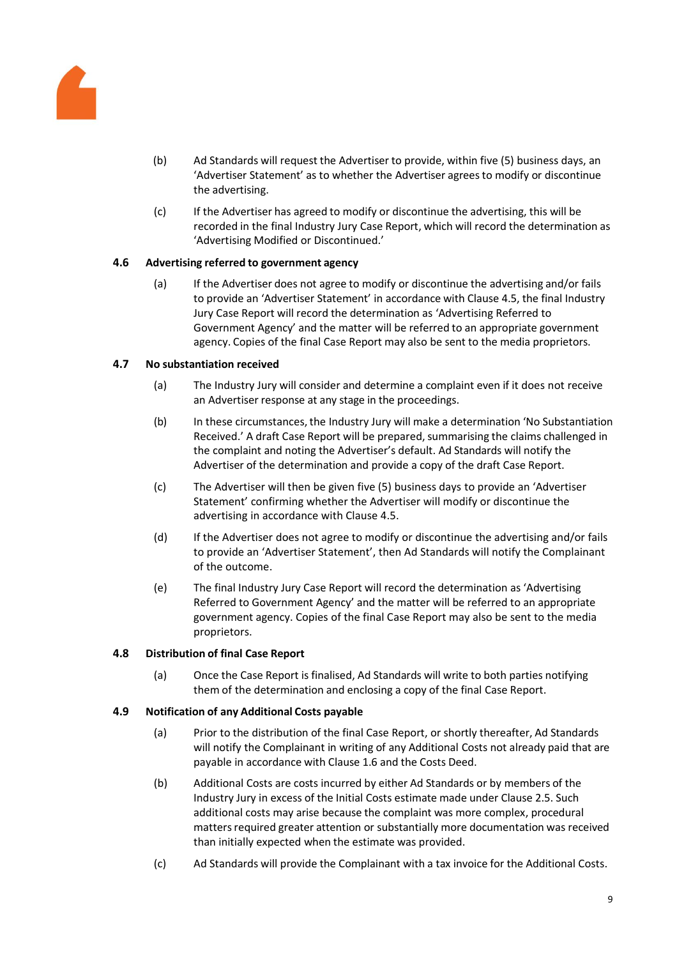

- (b) Ad Standards will request the Advertiser to provide, within five (5) business days, an 'Advertiser Statement' as to whether the Advertiser agreesto modify or discontinue the advertising.
- (c) If the Advertiser has agreed to modify or discontinue the advertising, this will be recorded in the final Industry Jury Case Report, which will record the determination as 'Advertising Modified or Discontinued.'

## <span id="page-8-1"></span>**4.6 Advertising referred to government agency**

(a) If the Advertiser does not agree to modify or discontinue the advertising and/or fails to provide an 'Advertiser Statement' in accordance with Clause [4.5,](#page-7-0) the final Industry Jury Case Report will record the determination as 'Advertising Referred to Government Agency' and the matter will be referred to an appropriate government agency. Copies of the final Case Report may also be sent to the media proprietors.

## **4.7 No substantiation received**

- (a) The Industry Jury will consider and determine a complaint even if it does not receive an Advertiser response at any stage in the proceedings.
- (b) In these circumstances, the Industry Jury will make a determination 'No Substantiation Received.' A draft Case Report will be prepared, summarising the claims challenged in the complaint and noting the Advertiser's default. Ad Standards will notify the Advertiser of the determination and provide a copy of the draft Case Report.
- (c) The Advertiser will then be given five (5) business days to provide an 'Advertiser Statement' confirming whether the Advertiser will modify or discontinue the advertising in accordance with Clause [4.5.](#page-7-0)
- (d) If the Advertiser does not agree to modify or discontinue the advertising and/or fails to provide an 'Advertiser Statement', then Ad Standards will notify the Complainant of the outcome.
- (e) The final Industry Jury Case Report will record the determination as 'Advertising Referred to Government Agency' and the matter will be referred to an appropriate government agency. Copies of the final Case Report may also be sent to the media proprietors.

## **4.8 Distribution of final Case Report**

(a) Once the Case Report is finalised, Ad Standards will write to both parties notifying them of the determination and enclosing a copy of the final Case Report.

## <span id="page-8-0"></span>**4.9 Notification of any Additional Costs payable**

- (a) Prior to the distribution of the final Case Report, or shortly thereafter, Ad Standards will notify the Complainant in writing of any Additional Costs not already paid that are payable in accordance with Clause [1.6](#page-2-0) and the Costs Deed.
- (b) Additional Costs are costs incurred by either Ad Standards or by members of the Industry Jury in excess of the Initial Costs estimate made under Clause [2.5.](#page-5-0) Such additional costs may arise because the complaint was more complex, procedural matters required greater attention or substantially more documentation was received than initially expected when the estimate was provided.
- (c) Ad Standards will provide the Complainant with a tax invoice for the Additional Costs.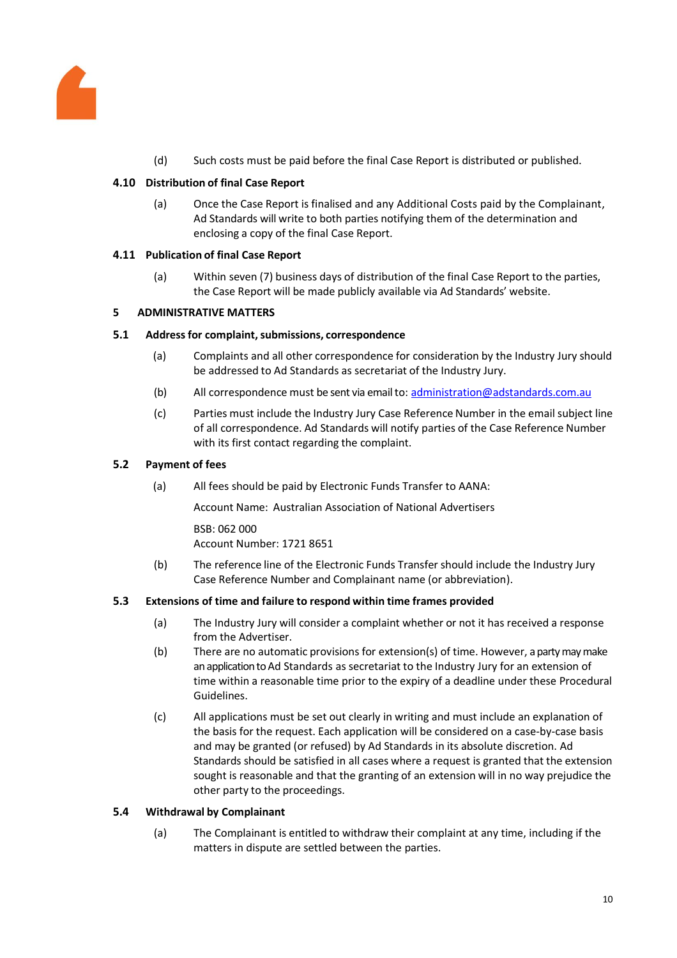

(d) Such costs must be paid before the final Case Report is distributed or published.

# **4.10 Distribution of final Case Report**

(a) Once the Case Report is finalised and any Additional Costs paid by the Complainant, Ad Standards will write to both parties notifying them of the determination and enclosing a copy of the final Case Report.

## **4.11 Publication of final Case Report**

(a) Within seven (7) business days of distribution of the final Case Report to the parties, the Case Report will be made publicly available via Ad Standards' website.

## **5 ADMINISTRATIVE MATTERS**

## **5.1 Address for complaint,submissions, correspondence**

- (a) Complaints and all other correspondence for consideration by the Industry Jury should be addressed to Ad Standards as secretariat of the Industry Jury.
- (b) All correspondence must be sent via email to: [administration@adstandards.com.au](mailto:administration@adstandards.com.au)
- (c) Parties must include the Industry Jury Case ReferenceNumber in the email subject line of all correspondence. Ad Standards will notify parties of the Case Reference Number with its first contact regarding the complaint.

## **5.2 Payment of fees**

(a) All fees should be paid by Electronic Funds Transfer to AANA:

Account Name: Australian Association of National Advertisers

BSB: 062 000 Account Number: 1721 8651

(b) The reference line of the Electronic Funds Transfer should include the Industry Jury Case Reference Number and Complainant name (or abbreviation).

## **5.3 Extensions of time and failure to respond within time frames provided**

- (a) The Industry Jury will consider a complaint whether or not it has received a response from the Advertiser.
- (b) There are no automatic provisions for extension(s) of time. However, a party maymake an application to Ad Standards as secretariat to the Industry Jury for an extension of time within a reasonable time prior to the expiry of a deadline under these Procedural Guidelines.
- (c) All applications must be set out clearly in writing and must include an explanation of the basis for the request. Each application will be considered on a case-by-case basis and may be granted (or refused) by Ad Standards in its absolute discretion. Ad Standards should be satisfied in all cases where a request is granted that the extension sought is reasonable and that the granting of an extension will in no way prejudice the other party to the proceedings.

## <span id="page-9-0"></span>**5.4 Withdrawal by Complainant**

(a) The Complainant is entitled to withdraw their complaint at any time, including if the matters in dispute are settled between the parties.